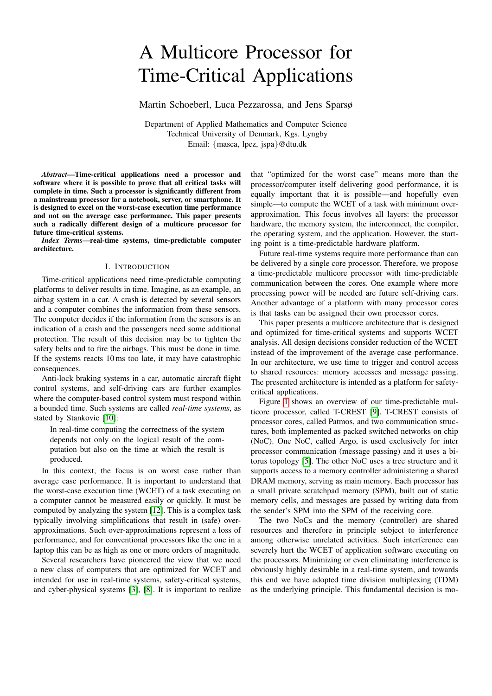# A Multicore Processor for Time-Critical Applications

Martin Schoeberl, Luca Pezzarossa, and Jens Sparsø

Department of Applied Mathematics and Computer Science Technical University of Denmark, Kgs. Lyngby Email: {masca, lpez, jspa}@dtu.dk

*Abstract*—Time-critical applications need a processor and software where it is possible to prove that all critical tasks will complete in time. Such a processor is significantly different from a mainstream processor for a notebook, server, or smartphone. It is designed to excel on the worst-case execution time performance and not on the average case performance. This paper presents such a radically different design of a multicore processor for future time-critical systems.

*Index Terms*—real-time systems, time-predictable computer architecture.

# I. INTRODUCTION

Time-critical applications need time-predictable computing platforms to deliver results in time. Imagine, as an example, an airbag system in a car. A crash is detected by several sensors and a computer combines the information from these sensors. The computer decides if the information from the sensors is an indication of a crash and the passengers need some additional protection. The result of this decision may be to tighten the safety belts and to fire the airbags. This must be done in time. If the systems reacts 10 ms too late, it may have catastrophic consequences.

Anti-lock braking systems in a car, automatic aircraft flight control systems, and self-driving cars are further examples where the computer-based control system must respond within a bounded time. Such systems are called *real-time systems*, as stated by Stankovic [\[10\]](#page-6-0):

In real-time computing the correctness of the system depends not only on the logical result of the computation but also on the time at which the result is produced.

In this context, the focus is on worst case rather than average case performance. It is important to understand that the worst-case execution time (WCET) of a task executing on a computer cannot be measured easily or quickly. It must be computed by analyzing the system [\[12\]](#page-6-1). This is a complex task typically involving simplifications that result in (safe) overapproximations. Such over-approximations represent a loss of performance, and for conventional processors like the one in a laptop this can be as high as one or more orders of magnitude.

Several researchers have pioneered the view that we need a new class of computers that are optimized for WCET and intended for use in real-time systems, safety-critical systems, and cyber-physical systems [\[3\]](#page-6-2), [\[8\]](#page-6-3). It is important to realize

that "optimized for the worst case" means more than the processor/computer itself delivering good performance, it is equally important that it is possible—and hopefully even simple—to compute the WCET of a task with minimum overapproximation. This focus involves all layers: the processor hardware, the memory system, the interconnect, the compiler, the operating system, and the application. However, the starting point is a time-predictable hardware platform.

Future real-time systems require more performance than can be delivered by a single core processor. Therefore, we propose a time-predictable multicore processor with time-predictable communication between the cores. One example where more processing power will be needed are future self-driving cars. Another advantage of a platform with many processor cores is that tasks can be assigned their own processor cores.

This paper presents a multicore architecture that is designed and optimized for time-critical systems and supports WCET analysis. All design decisions consider reduction of the WCET instead of the improvement of the average case performance. In our architecture, we use time to trigger and control access to shared resources: memory accesses and message passing. The presented architecture is intended as a platform for safetycritical applications.

Figure [1](#page-1-0) shows an overview of our time-predictable multicore processor, called T-CREST [\[9\]](#page-6-4). T-CREST consists of processor cores, called Patmos, and two communication structures, both implemented as packed switched networks on chip (NoC). One NoC, called Argo, is used exclusively for inter processor communication (message passing) and it uses a bitorus topology [\[5\]](#page-6-5). The other NoC uses a tree structure and it supports access to a memory controller administering a shared DRAM memory, serving as main memory. Each processor has a small private scratchpad memory (SPM), built out of static memory cells, and messages are passed by writing data from the sender's SPM into the SPM of the receiving core.

The two NoCs and the memory (controller) are shared resources and therefore in principle subject to interference among otherwise unrelated activities. Such interference can severely hurt the WCET of application software executing on the processors. Minimizing or even eliminating interference is obviously highly desirable in a real-time system, and towards this end we have adopted time division multiplexing (TDM) as the underlying principle. This fundamental decision is mo-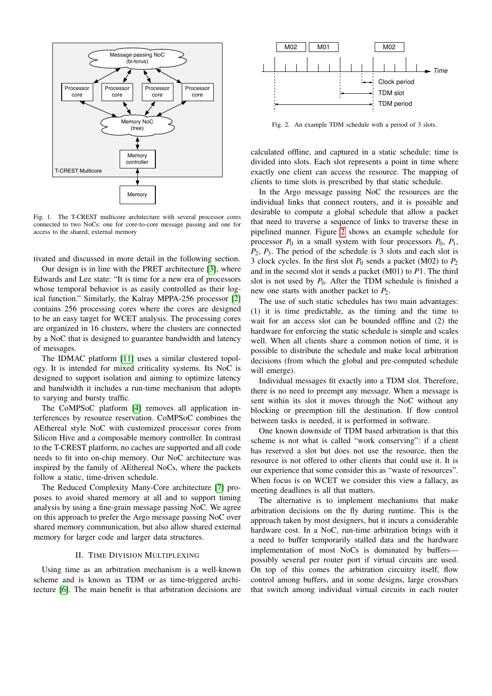

<span id="page-1-0"></span>Fig. 1. The T-CREST multicore architecture with several processor cores connected to two NoCs: one for core-to-core message passing and one for access to the shared, external memory

tivated and discussed in more detail in the following section.

Our design is in line with the PRET architecture [\[3\]](#page-6-2), where Edwards and Lee state: "It is time for a new era of processors whose temporal behavior is as easily controlled as their logical function." Similarly, the Kalray MPPA-256 processor [\[2\]](#page-6-6) contains 256 processing cores where the cores are designed to be an easy target for WCET analysis. The processing cores are organized in 16 clusters, where the clusters are connected by a NoC that is designed to guarantee bandwidth and latency of messages.

The IDMAC platform [\[11\]](#page-6-7) uses a similar clustered topology. It is intended for mixed criticality systems. Its NoC is designed to support isolation and aiming to optimize latency and bandwidth it includes a run-time mechanism that adopts to varying and bursty traffic.

The CoMPSoC platform [\[4\]](#page-6-8) removes all application interferences by resource reservation. CoMPSoC combines the AEthereal style NoC with customized processor cores from Silicon Hive and a composable memory controller. In contrast to the T-CREST platform, no caches are supported and all code needs to fit into on-chip memory. Our NoC architecture was inspired by the family of AEthereal NoCs, where the packets follow a static, time-driven schedule.

The Reduced Complexity Many-Core architecture [\[7\]](#page-6-9) proposes to avoid shared memory at all and to support timing analysis by using a fine-grain message passing NoC. We agree on this approach to prefer the Argo message passing NoC over shared memory communication, but also allow shared external memory for larger code and larger data structures.

## II. TIME DIVISION MULTIPLEXING

Using time as an arbitration mechanism is a well-known scheme and is known as TDM or as time-triggered architecture [\[6\]](#page-6-10). The main benefit is that arbitration decisions are



<span id="page-1-1"></span>Fig. 2. An example TDM schedule with a period of 3 slots.

calculated offline, and captured in a static schedule: time is divided into slots. Each slot represents a point in time where exactly one client can access the resource. The mapping of clients to time slots is prescribed by that static schedule.

In the Argo message passing NoC the resources are the individual links that connect routers, and it is possible and desirable to compute a global schedule that allow a packet that need to traverse a sequence of links to traverse these in pipelined manner. Figure [2](#page-1-1) shows an example schedule for processor  $P_0$  in a small system with four processors  $P_0$ ,  $P_1$ , *P*2, *P*3. The period of the schedule is 3 slots and each slot is 3 clock cycles. In the first slot  $P_0$  sends a packet (M02) to  $P_2$ and in the second slot it sends a packet (M01) to *P*1. The third slot is not used by  $P_0$ . After the TDM schedule is finished a new one starts with another packet to *P*2.

The use of such static schedules has two main advantages: (1) it is time predictable, as the timing and the time to wait for an access slot can be bounded offline and (2) the hardware for enforcing the static schedule is simple and scales well. When all clients share a common notion of time, it is possible to distribute the schedule and make local arbitration decisions (from which the global and pre-computed schedule will emerge).

Individual messages fit exactly into a TDM slot. Therefore, there is no need to preempt any message. When a message is sent within its slot it moves through the NoC without any blocking or preemption till the destination. If flow control between tasks is needed, it is performed in software.

One known downside of TDM based arbitration is that this scheme is not what is called "work conserving": if a client has reserved a slot but does not use the resource, then the resource is not offered to other clients that could use it. It is our experience that some consider this as "waste of resources". When focus is on WCET we consider this view a fallacy, as meeting deadlines is all that matters.

The alternative is to implement mechanisms that make arbitration decisions on the fly during runtime. This is the approach taken by most designers, but it incurs a considerable hardware cost. In a NoC, run-time arbitration brings with it a need to buffer temporarily stalled data and the hardware implementation of most NoCs is dominated by buffers possibly several per router port if virtual circuits are used. On top of this comes the arbitration circuitry itself, flow control among buffers, and in some designs, large crossbars that switch among individual virtual circuits in each router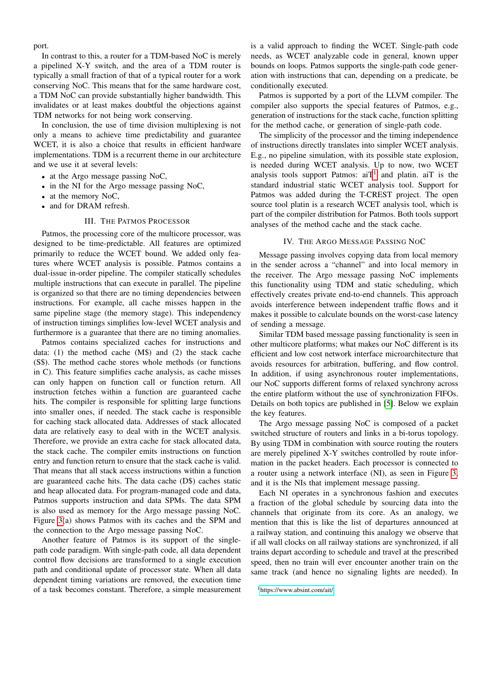port.

In contrast to this, a router for a TDM-based NoC is merely a pipelined X-Y switch, and the area of a TDM router is typically a small fraction of that of a typical router for a work conserving NoC. This means that for the same hardware cost, a TDM NoC can provide substantially higher bandwidth. This invalidates or at least makes doubtful the objections against TDM networks for not being work conserving.

In conclusion, the use of time division multiplexing is not only a means to achieve time predictability and guarantee WCET, it is also a choice that results in efficient hardware implementations. TDM is a recurrent theme in our architecture and we use it at several levels:

- at the Argo message passing NoC,
- in the NI for the Argo message passing NoC,
- at the memory NoC,
- and for DRAM refresh.

# III. THE PATMOS PROCESSOR

Patmos, the processing core of the multicore processor, was designed to be time-predictable. All features are optimized primarily to reduce the WCET bound. We added only features where WCET analysis is possible. Patmos contains a dual-issue in-order pipeline. The compiler statically schedules multiple instructions that can execute in parallel. The pipeline is organized so that there are no timing dependencies between instructions. For example, all cache misses happen in the same pipeline stage (the memory stage). This independency of instruction timings simplifies low-level WCET analysis and furthermore is a guarantee that there are no timing anomalies.

Patmos contains specialized caches for instructions and data:  $(1)$  the method cache  $(M\$ ) and  $(2)$  the stack cache (S\$). The method cache stores whole methods (or functions in C). This feature simplifies cache analysis, as cache misses can only happen on function call or function return. All instruction fetches within a function are guaranteed cache hits. The compiler is responsible for splitting large functions into smaller ones, if needed. The stack cache is responsible for caching stack allocated data. Addresses of stack allocated data are relatively easy to deal with in the WCET analysis. Therefore, we provide an extra cache for stack allocated data, the stack cache. The compiler emits instructions on function entry and function return to ensure that the stack cache is valid. That means that all stack access instructions within a function are guaranteed cache hits. The data cache (D\$) caches static and heap allocated data. For program-managed code and data, Patmos supports instruction and data SPMs. The data SPM is also used as memory for the Argo message passing NoC. Figure [3\(](#page-3-0)a) shows Patmos with its caches and the SPM and the connection to the Argo message passing NoC.

Another feature of Patmos is its support of the singlepath code paradigm. With single-path code, all data dependent control flow decisions are transformed to a single execution path and conditional update of processor state. When all data dependent timing variations are removed, the execution time of a task becomes constant. Therefore, a simple measurement

is a valid approach to finding the WCET. Single-path code needs, as WCET analyzable code in general, known upper bounds on loops. Patmos supports the single-path code generation with instructions that can, depending on a predicate, be conditionally executed.

Patmos is supported by a port of the LLVM compiler. The compiler also supports the special features of Patmos, e.g., generation of instructions for the stack cache, function splitting for the method cache, or generation of single-path code.

The simplicity of the processor and the timing independence of instructions directly translates into simpler WCET analysis. E.g., no pipeline simulation, with its possible state explosion, is needed during WCET analysis. Up to now, two WCET analysis tools support Patmos:  $aiT<sup>1</sup>$  $aiT<sup>1</sup>$  $aiT<sup>1</sup>$  and platin.  $aiT$  is the standard industrial static WCET analysis tool. Support for Patmos was added during the T-CREST project. The open source tool platin is a research WCET analysis tool, which is part of the compiler distribution for Patmos. Both tools support analyses of the method cache and the stack cache.

## IV. THE ARGO MESSAGE PASSING NOC

Message passing involves copying data from local memory in the sender across a "channel" and into local memory in the receiver. The Argo message passing NoC implements this functionality using TDM and static scheduling, which effectively creates private end-to-end channels. This approach avoids interference between independent traffic flows and it makes it possible to calculate bounds on the worst-case latency of sending a message.

Similar TDM based message passing functionality is seen in other multicore platforms; what makes our NoC different is its efficient and low cost network interface microarchitecture that avoids resources for arbitration, buffering, and flow control. In addition, if using asynchronous router implementations, our NoC supports different forms of relaxed synchrony across the entire platform without the use of synchronization FIFOs. Details on both topics are published in [\[5\]](#page-6-5). Below we explain the key features.

The Argo message passing NoC is composed of a packet switched structure of routers and links in a bi-torus topology. By using TDM in combination with source routing the routers are merely pipelined X-Y switches controlled by route information in the packet headers. Each processor is connected to a router using a network interface (NI), as seen in Figure [3,](#page-3-0) and it is the NIs that implement message passing.

Each NI operates in a synchronous fashion and executes a fraction of the global schedule by sourcing data into the channels that originate from its core. As an analogy, we mention that this is like the list of departures announced at a railway station, and continuing this analogy we observe that if all wall clocks on all railway stations are synchronized, if all trains depart according to schedule and travel at the prescribed speed, then no train will ever encounter another train on the same track (and hence no signaling lights are needed). In

<span id="page-2-0"></span><sup>1</sup><https://www.absint.com/ait/>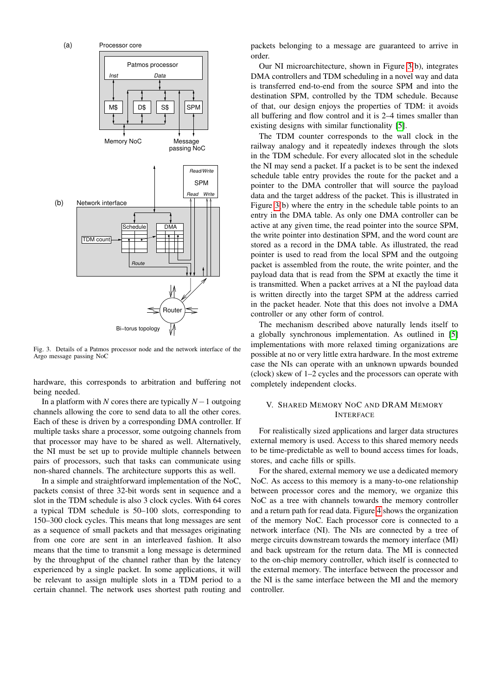

<span id="page-3-0"></span>Fig. 3. Details of a Patmos processor node and the network interface of the Argo message passing NoC

hardware, this corresponds to arbitration and buffering not being needed.

In a platform with *N* cores there are typically *N*−1 outgoing channels allowing the core to send data to all the other cores. Each of these is driven by a corresponding DMA controller. If multiple tasks share a processor, some outgoing channels from that processor may have to be shared as well. Alternatively, the NI must be set up to provide multiple channels between pairs of processors, such that tasks can communicate using non-shared channels. The architecture supports this as well.

In a simple and straightforward implementation of the NoC, packets consist of three 32-bit words sent in sequence and a slot in the TDM schedule is also 3 clock cycles. With 64 cores a typical TDM schedule is 50–100 slots, corresponding to 150–300 clock cycles. This means that long messages are sent as a sequence of small packets and that messages originating from one core are sent in an interleaved fashion. It also means that the time to transmit a long message is determined by the throughput of the channel rather than by the latency experienced by a single packet. In some applications, it will be relevant to assign multiple slots in a TDM period to a certain channel. The network uses shortest path routing and

packets belonging to a message are guaranteed to arrive in order.

Our NI microarchitecture, shown in Figure [3\(](#page-3-0)b), integrates DMA controllers and TDM scheduling in a novel way and data is transferred end-to-end from the source SPM and into the destination SPM, controlled by the TDM schedule. Because of that, our design enjoys the properties of TDM: it avoids all buffering and flow control and it is 2–4 times smaller than existing designs with similar functionality [\[5\]](#page-6-5).

The TDM counter corresponds to the wall clock in the railway analogy and it repeatedly indexes through the slots in the TDM schedule. For every allocated slot in the schedule the NI may send a packet. If a packet is to be sent the indexed schedule table entry provides the route for the packet and a pointer to the DMA controller that will source the payload data and the target address of the packet. This is illustrated in Figure [3\(](#page-3-0)b) where the entry in the schedule table points to an entry in the DMA table. As only one DMA controller can be active at any given time, the read pointer into the source SPM, the write pointer into destination SPM, and the word count are stored as a record in the DMA table. As illustrated, the read pointer is used to read from the local SPM and the outgoing packet is assembled from the route, the write pointer, and the payload data that is read from the SPM at exactly the time it is transmitted. When a packet arrives at a NI the payload data is written directly into the target SPM at the address carried in the packet header. Note that this does not involve a DMA controller or any other form of control.

The mechanism described above naturally lends itself to a globally synchronous implementation. As outlined in [\[5\]](#page-6-5) implementations with more relaxed timing organizations are possible at no or very little extra hardware. In the most extreme case the NIs can operate with an unknown upwards bounded (clock) skew of 1–2 cycles and the processors can operate with completely independent clocks.

# V. SHARED MEMORY NOC AND DRAM MEMORY INTERFACE

For realistically sized applications and larger data structures external memory is used. Access to this shared memory needs to be time-predictable as well to bound access times for loads, stores, and cache fills or spills.

For the shared, external memory we use a dedicated memory NoC. As access to this memory is a many-to-one relationship between processor cores and the memory, we organize this NoC as a tree with channels towards the memory controller and a return path for read data. Figure [4](#page-4-0) shows the organization of the memory NoC. Each processor core is connected to a network interface (NI). The NIs are connected by a tree of merge circuits downstream towards the memory interface (MI) and back upstream for the return data. The MI is connected to the on-chip memory controller, which itself is connected to the external memory. The interface between the processor and the NI is the same interface between the MI and the memory controller.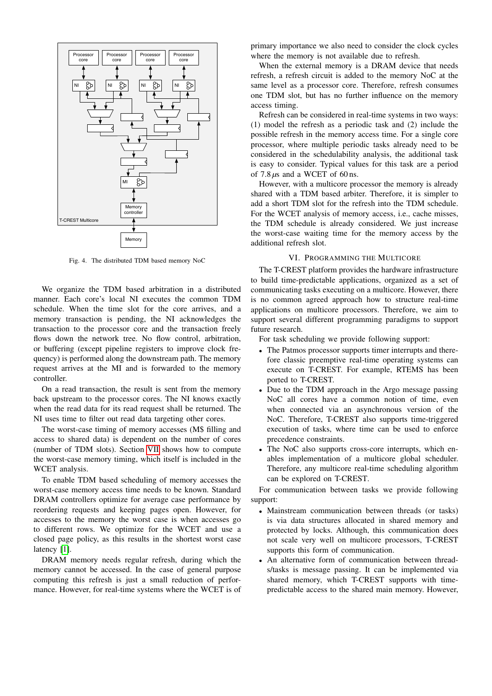

<span id="page-4-0"></span>Fig. 4. The distributed TDM based memory NoC

We organize the TDM based arbitration in a distributed manner. Each core's local NI executes the common TDM schedule. When the time slot for the core arrives, and a memory transaction is pending, the NI acknowledges the transaction to the processor core and the transaction freely flows down the network tree. No flow control, arbitration, or buffering (except pipeline registers to improve clock frequency) is performed along the downstream path. The memory request arrives at the MI and is forwarded to the memory controller.

On a read transaction, the result is sent from the memory back upstream to the processor cores. The NI knows exactly when the read data for its read request shall be returned. The NI uses time to filter out read data targeting other cores.

The worst-case timing of memory accesses (M\$ filling and access to shared data) is dependent on the number of cores (number of TDM slots). Section [VII](#page-5-0) shows how to compute the worst-case memory timing, which itself is included in the WCET analysis.

To enable TDM based scheduling of memory accesses the worst-case memory access time needs to be known. Standard DRAM controllers optimize for average case performance by reordering requests and keeping pages open. However, for accesses to the memory the worst case is when accesses go to different rows. We optimize for the WCET and use a closed page policy, as this results in the shortest worst case latency [\[1\]](#page-6-11).

DRAM memory needs regular refresh, during which the memory cannot be accessed. In the case of general purpose computing this refresh is just a small reduction of performance. However, for real-time systems where the WCET is of primary importance we also need to consider the clock cycles where the memory is not available due to refresh.

When the external memory is a DRAM device that needs refresh, a refresh circuit is added to the memory NoC at the same level as a processor core. Therefore, refresh consumes one TDM slot, but has no further influence on the memory access timing.

Refresh can be considered in real-time systems in two ways: (1) model the refresh as a periodic task and (2) include the possible refresh in the memory access time. For a single core processor, where multiple periodic tasks already need to be considered in the schedulability analysis, the additional task is easy to consider. Typical values for this task are a period of 7.8 *µ*s and a WCET of 60 ns.

However, with a multicore processor the memory is already shared with a TDM based arbiter. Therefore, it is simpler to add a short TDM slot for the refresh into the TDM schedule. For the WCET analysis of memory access, i.e., cache misses, the TDM schedule is already considered. We just increase the worst-case waiting time for the memory access by the additional refresh slot.

# VI. PROGRAMMING THE MULTICORE

The T-CREST platform provides the hardware infrastructure to build time-predictable applications, organized as a set of communicating tasks executing on a multicore. However, there is no common agreed approach how to structure real-time applications on multicore processors. Therefore, we aim to support several different programming paradigms to support future research.

For task scheduling we provide following support:

- The Patmos processor supports timer interrupts and therefore classic preemptive real-time operating systems can execute on T-CREST. For example, RTEMS has been ported to T-CREST.
- Due to the TDM approach in the Argo message passing NoC all cores have a common notion of time, even when connected via an asynchronous version of the NoC. Therefore, T-CREST also supports time-triggered execution of tasks, where time can be used to enforce precedence constraints.
- The NoC also supports cross-core interrupts, which enables implementation of a multicore global scheduler. Therefore, any multicore real-time scheduling algorithm can be explored on T-CREST.

For communication between tasks we provide following support:

- Mainstream communication between threads (or tasks) is via data structures allocated in shared memory and protected by locks. Although, this communication does not scale very well on multicore processors, T-CREST supports this form of communication.
- An alternative form of communication between threads/tasks is message passing. It can be implemented via shared memory, which T-CREST supports with timepredictable access to the shared main memory. However,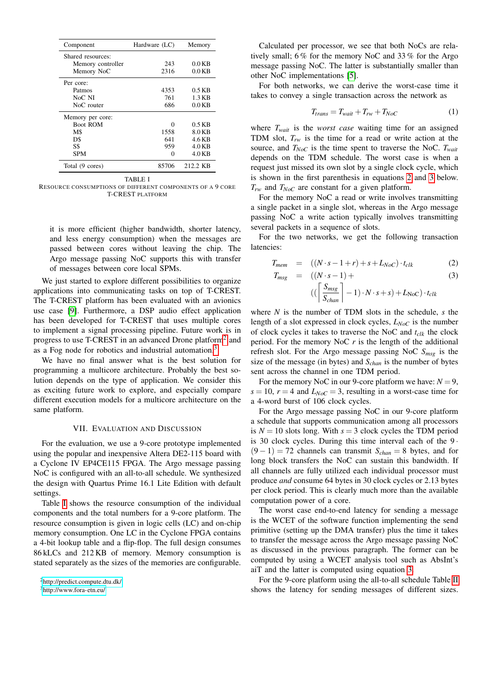| Component         | Hardware (LC) | Memory   |
|-------------------|---------------|----------|
| Shared resources: |               |          |
| Memory controller | 243           | $0.0$ KB |
| Memory NoC        | 2316          | $0.0$ KB |
| Per core:         |               |          |
| Patmos            | 4353          | $0.5$ KB |
| NoC NI            | 761           | 1.3 KB   |
| NoC router        | 686           | $0.0$ KB |
| Memory per core:  |               |          |
| <b>Boot ROM</b>   | Ω             | $0.5$ KB |
| M <sub>3</sub>    | 1558          | 8.0 KB   |
| D\$               | 641           | 4.6 KB   |
| S\$               | 959           | $4.0$ KB |
| <b>SPM</b>        |               | $4.0$ KB |
| Total (9 cores)   | 85706         | 212.2 KB |

TABLE I

<span id="page-5-3"></span>RESOURCE CONSUMPTIONS OF DIFFERENT COMPONENTS OF A 9 CORE T-CREST PLATFORM

it is more efficient (higher bandwidth, shorter latency, and less energy consumption) when the messages are passed between cores without leaving the chip. The Argo message passing NoC supports this with transfer of messages between core local SPMs.

We just started to explore different possibilities to organize applications into communicating tasks on top of T-CREST. The T-CREST platform has been evaluated with an avionics use case [\[9\]](#page-6-4). Furthermore, a DSP audio effect application has been developed for T-CREST that uses multiple cores to implement a signal processing pipeline. Future work is in progress to use T-CREST in an advanced Drone platform<sup>[2](#page-5-1)</sup> and as a Fog node for robotics and industrial automation.[3](#page-5-2)

We have no final answer what is the best solution for programming a multicore architecture. Probably the best solution depends on the type of application. We consider this as exciting future work to explore, and especially compare different execution models for a multicore architecture on the same platform.

## VII. EVALUATION AND DISCUSSION

<span id="page-5-0"></span>For the evaluation, we use a 9-core prototype implemented using the popular and inexpensive Altera DE2-115 board with a Cyclone IV EP4CE115 FPGA. The Argo message passing NoC is configured with an all-to-all schedule. We synthesized the design with Quartus Prime 16.1 Lite Edition with default settings.

Table [I](#page-5-3) shows the resource consumption of the individual components and the total numbers for a 9-core platform. The resource consumption is given in logic cells (LC) and on-chip memory consumption. One LC in the Cyclone FPGA contains a 4-bit lookup table and a flip-flop. The full design consumes 86 kLCs and 212 KB of memory. Memory consumption is stated separately as the sizes of the memories are configurable.

<span id="page-5-2"></span><sup>3</sup><http://www.fora-etn.eu/>

Calculated per processor, we see that both NoCs are relatively small; 6 % for the memory NoC and 33 % for the Argo message passing NoC. The latter is substantially smaller than other NoC implementations [\[5\]](#page-6-5).

For both networks, we can derive the worst-case time it takes to convey a single transaction across the network as

$$
T_{trans} = T_{wait} + T_{rw} + T_{NoC}
$$
 (1)

where  $T_{wait}$  is the *worst case* waiting time for an assigned TDM slot, *Trw* is the time for a read or write action at the source, and *TNoC* is the time spent to traverse the NoC. *Twait* depends on the TDM schedule. The worst case is when a request just missed its own slot by a single clock cycle, which is shown in the first parenthesis in equations [2](#page-5-4) and [3](#page-5-4) below. *Trw* and *TNoC* are constant for a given platform.

For the memory NoC a read or write involves transmitting a single packet in a single slot, whereas in the Argo message passing NoC a write action typically involves transmitting several packets in a sequence of slots.

For the two networks, we get the following transaction latencies:

<span id="page-5-4"></span>
$$
T_{mem} = ((N \cdot s - 1 + r) + s + L_{NoC}) \cdot t_{clk} \tag{2}
$$

$$
T_{msg} = ((N \cdot s - 1) + (3)
$$

$$
((\left\lceil \frac{S_{msg}}{S_{chan}} \right\rceil - 1) \cdot N \cdot s + s) + L_{Noc}) \cdot t_{clk}
$$

where *N* is the number of TDM slots in the schedule, *s* the length of a slot expressed in clock cycles, *LNoC* is the number of clock cycles it takes to traverse the NoC and *tclk* the clock period. For the memory NoC *r* is the length of the additional refresh slot. For the Argo message passing NoC *Smsg* is the size of the message (in bytes) and *Schan* is the number of bytes sent across the channel in one TDM period.

For the memory NoC in our 9-core platform we have:  $N = 9$ ,  $s = 10$ ,  $r = 4$  and  $L_{NoC} = 3$ , resulting in a worst-case time for a 4-word burst of 106 clock cycles.

For the Argo message passing NoC in our 9-core platform a schedule that supports communication among all processors is  $N = 10$  slots long. With  $s = 3$  clock cycles the TDM period is 30 clock cycles. During this time interval each of the  $9 \cdot$  $(9-1) = 72$  channels can transmit  $S_{chan} = 8$  bytes, and for long block transfers the NoC can sustain this bandwidth. If all channels are fully utilized each individual processor must produce *and* consume 64 bytes in 30 clock cycles or 2.13 bytes per clock period. This is clearly much more than the available computation power of a core.

The worst case end-to-end latency for sending a message is the WCET of the software function implementing the send primitive (setting up the DMA transfer) plus the time it takes to transfer the message across the Argo message passing NoC as discussed in the previous paragraph. The former can be computed by using a WCET analysis tool such as AbsInt's aiT and the latter is computed using equation [3.](#page-5-4)

For the 9-core platform using the all-to-all schedule Table [II](#page-6-12) shows the latency for sending messages of different sizes.

<span id="page-5-1"></span><sup>2</sup><http://predict.compute.dtu.dk/>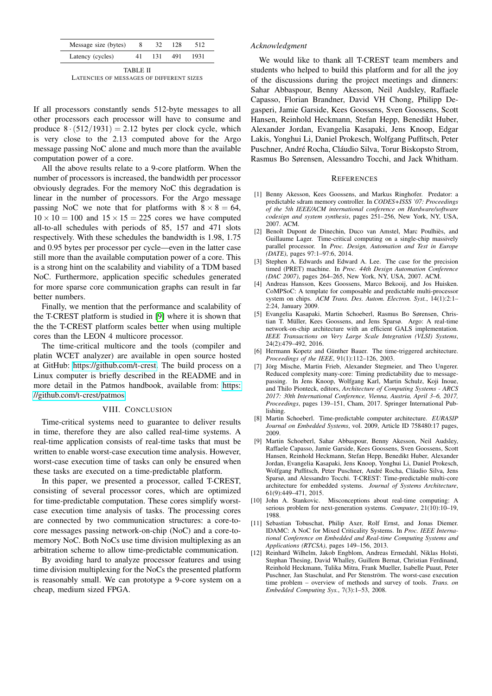| Message size (bytes) |      | - 128 - |      |
|----------------------|------|---------|------|
| Latency (cycles)     | 131. | 491     | 1931 |

| <b>TABLE II</b>                          |  |  |  |  |  |  |  |
|------------------------------------------|--|--|--|--|--|--|--|
| LATENCIES OF MESSAGES OF DIFFERENT SIZES |  |  |  |  |  |  |  |

<span id="page-6-12"></span>If all processors constantly sends 512-byte messages to all other processors each processor will have to consume and produce  $8 \cdot (512/1931) = 2.12$  bytes per clock cycle, which is very close to the 2.13 computed above for the Argo message passing NoC alone and much more than the available computation power of a core.

All the above results relate to a 9-core platform. When the number of processors is increased, the bandwidth per processor obviously degrades. For the memory NoC this degradation is linear in the number of processors. For the Argo message passing NoC we note that for platforms with  $8 \times 8 = 64$ ,  $10 \times 10 = 100$  and  $15 \times 15 = 225$  cores we have computed all-to-all schedules with periods of 85, 157 and 471 slots respectively. With these schedules the bandwidth is 1.98, 1.75 and 0.95 bytes per processor per cycle—even in the latter case still more than the available computation power of a core. This is a strong hint on the scalability and viability of a TDM based NoC. Furthermore, application specific schedules generated for more sparse core communication graphs can result in far better numbers.

Finally, we mention that the performance and scalability of the T-CREST platform is studied in [\[9\]](#page-6-4) where it is shown that the the T-CREST platform scales better when using multiple cores than the LEON 4 multicore processor.

The time-critical multicore and the tools (compiler and platin WCET analyzer) are available in open source hosted at GitHub: [https://github.com/t-crest.](https://github.com/t-crest) The build process on a Linux computer is briefly described in the README and in more detail in the Patmos handbook, available from: [https:](https://github.com/t-crest/patmos) [//github.com/t-crest/patmos](https://github.com/t-crest/patmos)

#### VIII. CONCLUSION

Time-critical systems need to guarantee to deliver results in time, therefore they are also called real-time systems. A real-time application consists of real-time tasks that must be written to enable worst-case execution time analysis. However, worst-case execution time of tasks can only be ensured when these tasks are executed on a time-predictable platform.

In this paper, we presented a processor, called T-CREST, consisting of several processor cores, which are optimized for time-predictable computation. These cores simplify worstcase execution time analysis of tasks. The processing cores are connected by two communication structures: a core-tocore messages passing network-on-chip (NoC) and a core-tomemory NoC. Both NoCs use time division multiplexing as an arbitration scheme to allow time-predictable communication.

By avoiding hard to analyze processor features and using time division multiplexing for the NoCs the presented platform is reasonably small. We can prototype a 9-core system on a cheap, medium sized FPGA.

# *Acknowledgment*

We would like to thank all T-CREST team members and students who helped to build this platform and for all the joy of the discussions during the project meetings and dinners: Sahar Abbaspour, Benny Akesson, Neil Audsley, Raffaele Capasso, Florian Brandner, David VH Chong, Philipp Degasperi, Jamie Garside, Kees Goossens, Sven Goossens, Scott Hansen, Reinhold Heckmann, Stefan Hepp, Benedikt Huber, Alexander Jordan, Evangelia Kasapaki, Jens Knoop, Edgar Lakis, Yonghui Li, Daniel Prokesch, Wolfgang Puffitsch, Peter Puschner, André Rocha, Cláudio Silva, Torur Biskopsto Strom, Rasmus Bo Sørensen, Alessandro Tocchi, and Jack Whitham.

## **REFERENCES**

- <span id="page-6-11"></span>[1] Benny Akesson, Kees Goossens, and Markus Ringhofer. Predator: a predictable sdram memory controller. In *CODES+ISSS '07: Proceedings of the 5th IEEE/ACM international conference on Hardware/software codesign and system synthesis*, pages 251–256, New York, NY, USA, 2007. ACM.
- <span id="page-6-6"></span>[2] Benoît Dupont de Dinechin, Duco van Amstel, Marc Poulhiès, and Guillaume Lager. Time-critical computing on a single-chip massively parallel processor. In *Proc. Design, Automation and Test in Europe (DATE)*, pages 97:1–97:6, 2014.
- <span id="page-6-2"></span>[3] Stephen A. Edwards and Edward A. Lee. The case for the precision timed (PRET) machine. In *Proc. 44th Design Automation Conference (DAC 2007)*, pages 264–265, New York, NY, USA, 2007. ACM.
- <span id="page-6-8"></span>[4] Andreas Hansson, Kees Goossens, Marco Bekooij, and Jos Huisken. CoMPSoC: A template for composable and predictable multi-processor system on chips. *ACM Trans. Des. Autom. Electron. Syst.*, 14(1):2:1– 2:24, January 2009.
- <span id="page-6-5"></span>[5] Evangelia Kasapaki, Martin Schoeberl, Rasmus Bo Sørensen, Christian T. Müller, Kees Goossens, and Jens Sparsø. Argo: A real-time network-on-chip architecture with an efficient GALS implementation. *IEEE Transactions on Very Large Scale Integration (VLSI) Systems*, 24(2):479–492, 2016.
- <span id="page-6-10"></span>[6] Hermann Kopetz and Günther Bauer. The time-triggered architecture. *Proceedings of the IEEE*, 91(1):112–126, 2003.
- <span id="page-6-9"></span>[7] Jörg Mische, Martin Frieb, Alexander Stegmeier, and Theo Ungerer. Reduced complexity many-core: Timing predictability due to messagepassing. In Jens Knoop, Wolfgang Karl, Martin Schulz, Koji Inoue, and Thilo Pionteck, editors, *Architecture of Computing Systems - ARCS 2017: 30th International Conference, Vienna, Austria, April 3–6, 2017, Proceedings*, pages 139–151, Cham, 2017. Springer International Publishing.
- <span id="page-6-3"></span>[8] Martin Schoeberl. Time-predictable computer architecture. *EURASIP Journal on Embedded Systems*, vol. 2009, Article ID 758480:17 pages, 2009.
- <span id="page-6-4"></span>[9] Martin Schoeberl, Sahar Abbaspour, Benny Akesson, Neil Audsley, Raffaele Capasso, Jamie Garside, Kees Goossens, Sven Goossens, Scott Hansen, Reinhold Heckmann, Stefan Hepp, Benedikt Huber, Alexander Jordan, Evangelia Kasapaki, Jens Knoop, Yonghui Li, Daniel Prokesch, Wolfgang Puffitsch, Peter Puschner, André Rocha, Cláudio Silva, Jens Sparsø, and Alessandro Tocchi. T-CREST: Time-predictable multi-core architecture for embedded systems. *Journal of Systems Architecture*, 61(9):449–471, 2015.
- <span id="page-6-0"></span>[10] John A. Stankovic. Misconceptions about real-time computing: A serious problem for next-generation systems. *Computer*, 21(10):10–19, 1988.
- <span id="page-6-7"></span>[11] Sebastian Tobuschat, Philip Axer, Rolf Ernst, and Jonas Diemer. IDAMC: A NoC for Mixed Criticality Systems. In *Proc. IEEE International Conference on Embedded and Real-time Computing Systems and Applications (RTCSA)*, pages 149–156, 2013.
- <span id="page-6-1"></span>[12] Reinhard Wilhelm, Jakob Engblom, Andreas Ermedahl, Niklas Holsti, Stephan Thesing, David Whalley, Guillem Bernat, Christian Ferdinand, Reinhold Heckmann, Tulika Mitra, Frank Mueller, Isabelle Puaut, Peter Puschner, Jan Staschulat, and Per Stenström. The worst-case execution time problem – overview of methods and survey of tools. *Trans. on Embedded Computing Sys.*, 7(3):1–53, 2008.